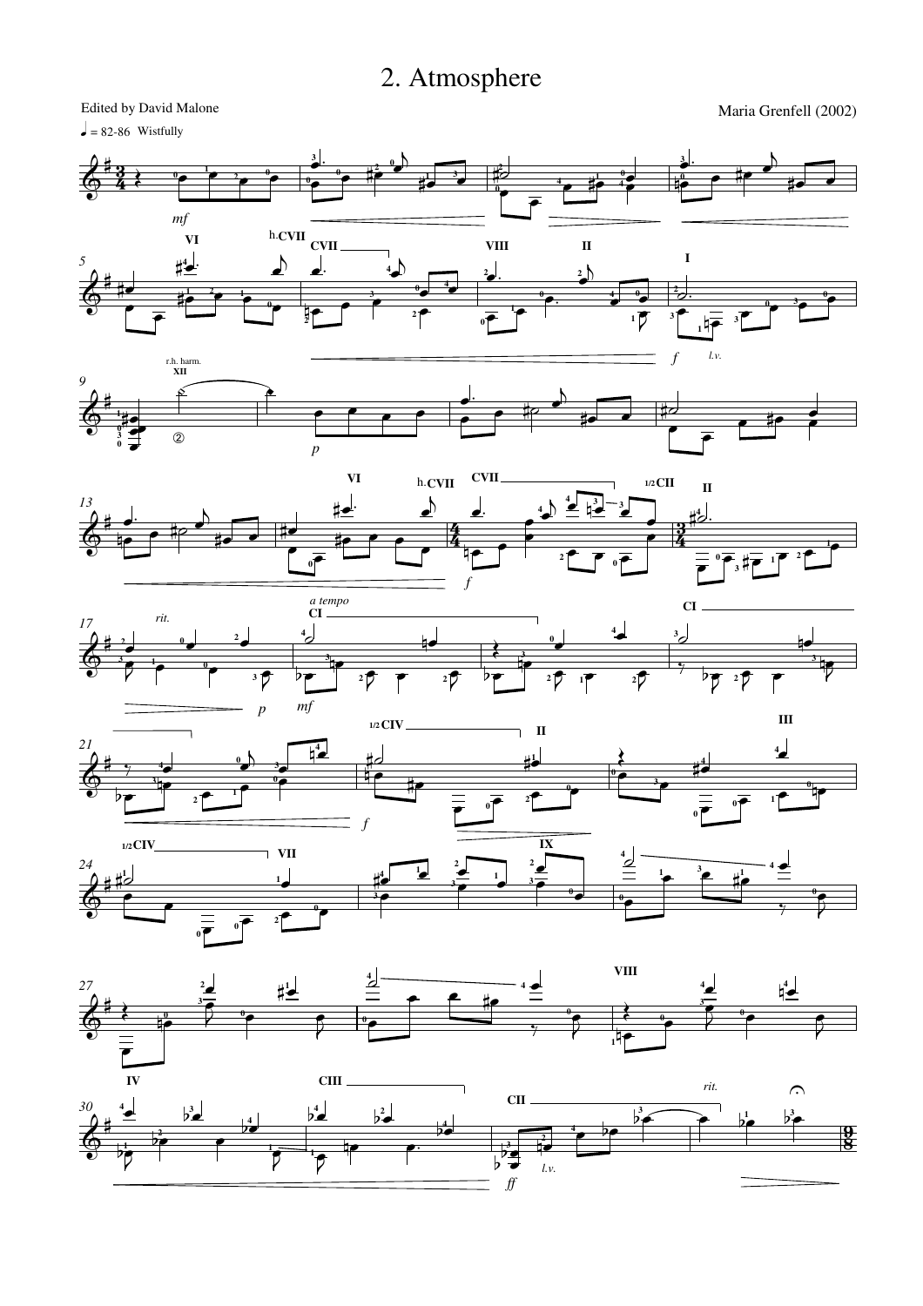## 2. Atmosphere

 $\overline{\mathbf{z}}$ ŧ

*5*

*9*

 $\Phi$ ŧ

*13*

*17*

 $\vec{R}$ ŧ

*21*

长

*24*  $\frac{1}{\sqrt{2}}$  $\sharp$ 

*27*

₹ ŧ

ŧ

 $\Phi$  $\sharp$ 

Edited by David Malone  $= 82-86$  Wistfully  $\overline{a}$  $\overline{a}$  $\frac{3}{2}$ .  $\frac{3}{2}$ .  $\cdot$  $\overrightarrow{ }$ **3 3** <u>3</u>  $\overrightarrow{e}$   $\overrightarrow{e}$   $\overrightarrow{e}$  $\overrightarrow{r}$ **0 2**  $\frac{1}{2}$  $\overline{\phantom{a}}$ ≹ **2 0 1**  $\frac{1}{2}$   $\frac{3}{2}$  $\overline{\phantom{a}}$  $\frac{3}{4}$ **0**  $\frac{1}{\rho}$ **0**  $e \stackrel{1}{\longrightarrow} \frac{0}{4}$ ij  $\frac{1}{\rho}$ **0 3 2 1 1 0 0**  $\frac{1}{\epsilon}$ **4 4 0**  $\overline{\bullet}$ *mf* **VI** h. **CVII CVII VIII II**  $\blacktriangle$  $\overline{a}$ **4 I 2**  $\frac{1}{\sqrt{2}}$  $\frac{1}{2}$ ◢ **4 2** ‡J  $\begin{array}{ccc} & & 4 \\ \hline & & & 4 \end{array}$  $\frac{1}{2}$   $\frac{2}{7}$   $\frac{1}{1}$ **4**  $\frac{1}{\sqrt{1-\frac{1}{\sqrt{1-\frac{1}{\sqrt{1-\frac{1}{\sqrt{1-\frac{1}{\sqrt{1-\frac{1}{\sqrt{1-\frac{1}{\sqrt{1-\frac{1}{\sqrt{1-\frac{1}{\sqrt{1-\frac{1}{\sqrt{1-\frac{1}{\sqrt{1-\frac{1}{\sqrt{1-\frac{1}{\sqrt{1-\frac{1}{\sqrt{1-\frac{1}{\sqrt{1-\frac{1}{\sqrt{1-\frac{1}{\sqrt{1-\frac{1}{\sqrt{1-\frac{1}{\sqrt{1-\frac{1}{\sqrt{1-\frac{1}{\sqrt{1-\frac{1}{\sqrt{1-\frac{1}{\sqrt{1-\frac{1}{\sqrt{1-\frac{1$  $\overline{\bullet}$  $\bullet$  $\overline{\bullet}$ **0 2**  $\frac{3}{2}$ **1 0**  $\overline{\phantom{0}}$ **3 0 4 0**  $\bar{\bar{\phantom{a}}}$  $\overline{\phantom{0}}$  $\overline{\phantom{0}}$ h  $\overline{\bullet}$  $\frac{1}{\epsilon}$  $\overline{ }$  $\frac{a}{\epsilon}$  $\frac{1}{2}$  $\overline{ }$ **3 0 0**  $\overline{ }$  $\overline{ }$ **1** भें₹ **2 3 3 2 0 1** *l.v. f* r.h. harm. **XII**  $\overline{b}$ <u>J.</u>  $\overline{\phantom{a}}$  $\overline{\phantom{a}}$  $\bullet$  #2  $\sharp$  $\frac{1}{2}$  $\frac{1}{\bullet}$  $\overline{1}$  $\overline{\phantom{a}}$  $\frac{1}{\rho}$  $e \neq e$ **1**  $\bullet$  $\frac{1}{\epsilon}$  $\overline{\bullet}$ **0**  $\circled{2}$ **3**  $\overline{\bullet}$ **0** *p* **VI CVII 1/2CII** h.**CVII II**  $\frac{4}{5}$  $\overline{\phantom{a}}$  $\overline{\phantom{a}}$ .  $\frac{1}{2}$  $\overline{a}$  $\frac{1}{\sqrt{2}}$ Ħ **3**  $\frac{1}{\sqrt{2\pi}}$  $\frac{1}{2}$   $\frac{1}{2}$  $\bullet$ **4 4**  $\overrightarrow{ }$  $\begin{array}{c} \xi^{\frac{1}{2}} & \rightarrow & \rightarrow & \rightarrow \\ \frac{1}{2} & \frac{1}{2} & \frac{1}{2} & \frac{1}{2} & \frac{1}{2} & \frac{1}{2} & \frac{1}{2} & \frac{1}{2} & \frac{1}{2} & \frac{1}{2} & \frac{1}{2} \\ \frac{1}{2} & \frac{1}{2} & \frac{1}{2} & \frac{1}{2} & \frac{1}{2} & \frac{1}{2} & \frac{1}{2} & \frac{1}{2} & \frac{1}{2} & \frac{1}{2} & \frac{1}{2} & \frac{1}{2} & \frac{1}{2} & \$ 4  $\overline{\phantom{a}}$  $\sharp$  $\overline{\phantom{a}}$  $\overline{1}$  $\overline{\phantom{a}}$  $\frac{1}{\epsilon}$  $\frac{\bullet}{\bullet}$ h  $\frac{1}{\rho}$  $\overline{\bullet}$  $\frac{4}{4}$  $\overline{\phantom{0}}$  $\overline{\cdot}$  $\frac{1}{\epsilon}$  $\overline{\phantom{0}}$ Ī  $\overline{\bullet}$  $\frac{1}{\sqrt{1-\frac{1}{2}}}$  $\overline{\phantom{1}}$ **2 0**  $\overline{ }$  $\frac{1}{\sqrt{\epsilon}}, \frac{1}{\sqrt{\epsilon}}$ **2 0**  $\bar{z}$ **0** *f a tempo* **CI** *rit.* **CI 4**  $\overline{\phantom{a}}$  $\overline{\mathcal{C}}$ **4 2** h <u>J</u> l<br>4 <u>J</u> **0**  $\overline{\phantom{a}}$ **3**  $\frac{2}{\epsilon}$ ≹ **0**  $\frac{\bullet}{\bullet}$  $\overline{\mathsf{h}}$  $\overline{\phantom{0}}$ F<br>H  $\overline{\bullet}$  $\overline{\mathsf{h}}$  $\overline{\phantom{a}}$  $\overline{ }$ **3**  $\frac{1}{7}$ **3 3 0 3 1 3**  $\overline{ }$ **2 2 2**  $\overline{ }$ 7 7  $\overline{5}$ **2**  $\overline{ }$   $\overline{ }$  $\overline{5}$  $\overline{ }$  $\tilde{z}$  $\triangledown$  $\overline{\mathcal{V}}$  **<sup>2</sup> 1** *p mf* **III 1/2 CIV II 4**  $\frac{1}{\sqrt{\frac{1}{2}}}$ **4**  $\overline{b}$ ≹ #  $\frac{4}{7}$ **1 <sup>3</sup>**  $\frac{1}{\bullet}$  $\frac{1}{\bullet}$  $\sharp^4$ **0 4** İ  $\frac{1}{\sqrt{2}}$  $\frac{\epsilon}{\epsilon}$ **4**  $\frac{1}{\rho}$ L<br>4  $\frac{1}{\rho}$  $\frac{1}{4}$ **0**  $\overline{\bullet}$  $\overline{\bullet}$ **0**  $\overline{\bullet}$   $\overline{\bullet}$  $\overline{\phantom{a}}^{\phantom{a}}$  $\overline{\phantom{0}}$ **3 3**  $\overline{\phantom{0}}$  $\overline{\overline{\phantom{a}}\hspace{-0.5mm}}$ **0**  $\overline{\bullet}$ **0**  $\overline{\bullet}$ **1 2 2**  $\overline{ }$  $\overline{ }$ **1 0 0 0** *f* **IX 1/2 CIV**  $\nabla$ **VII 4** <u>J</u>  $\overline{\phantom{a}}$  $\sum_{1}$  $\overline{\phantom{a}}$  $\frac{1}{4}$ **2**  $\bullet$  <sup>3</sup> $\bullet$   $\sharp^1$ **1 4**  $\frac{1}{2}$ **1 3**  $\frac{1}{\sqrt{2\pi}}$  $\frac{1}{\sqrt{1-\frac{1}{2}}}$ **1**  $\frac{1}{\epsilon}$ **1 1 3**  $\frac{1}{\rho}$  $\frac{1}{\epsilon}$ **3**  $\overline{\phantom{a}}$ **0 0**  $\overline{\bullet}$  $\overline{\phantom{0}}$ **3 0** .<br>7 ₹ **0**  $\overline{\phantom{0}}$  $\overline{ }$ **2 0 0 VIII**  $\frac{1}{2}$ <u>J</u> **2 4 4 1** Í <u>|</u>  $e$  to **4**  $\bullet$ **4**  $\frac{1}{\sqrt{2}}$  ≹ ≹ **3 3**  $\frac{1}{\sqrt{2}}$  $\overline{\bullet}$  $\overline{\mathbf{R}}$  $\overline{\bullet}$  $\overline{\mathbf{R}}$ Ę  $\overset{0}{\bullet}$  $\overline{\bullet}$ **0**  $\overline{\bullet}$ ₹ **0 0 0**  $\frac{1}{7}$ **0 0** ₹ ₹ ₹ h  $\frac{1}{\epsilon}$  $\overline{\phantom{0}}$ **1 IV CIII** *rit.*  $\Omega$ ٦ **CII** <u>J</u>  $b^3$  $b^4$ **4 3 1 4**

*30*  $\sharp$ **1 2**  $\overline{b}$  $\triangledown$  $\frac{2}{2}$  $\overline{\phantom{0}}$  $\frac{4}{2}$ **1 1**  $\overline{\mathcal{V}}$  F  $\overline{\bullet}$  $b^2$  $\overline{\bullet}$ **4**  $\frac{4}{2}$ **3** *ff* **2** *l.v.* **4**  $\mathbf{b}$ Ę  $\overline{\bullet}$  $\overline{\phantom{0}}$  $\frac{3}{2}$  $b^1$  $\mathbf{b}$ **3**

Maria Grenfell (2002)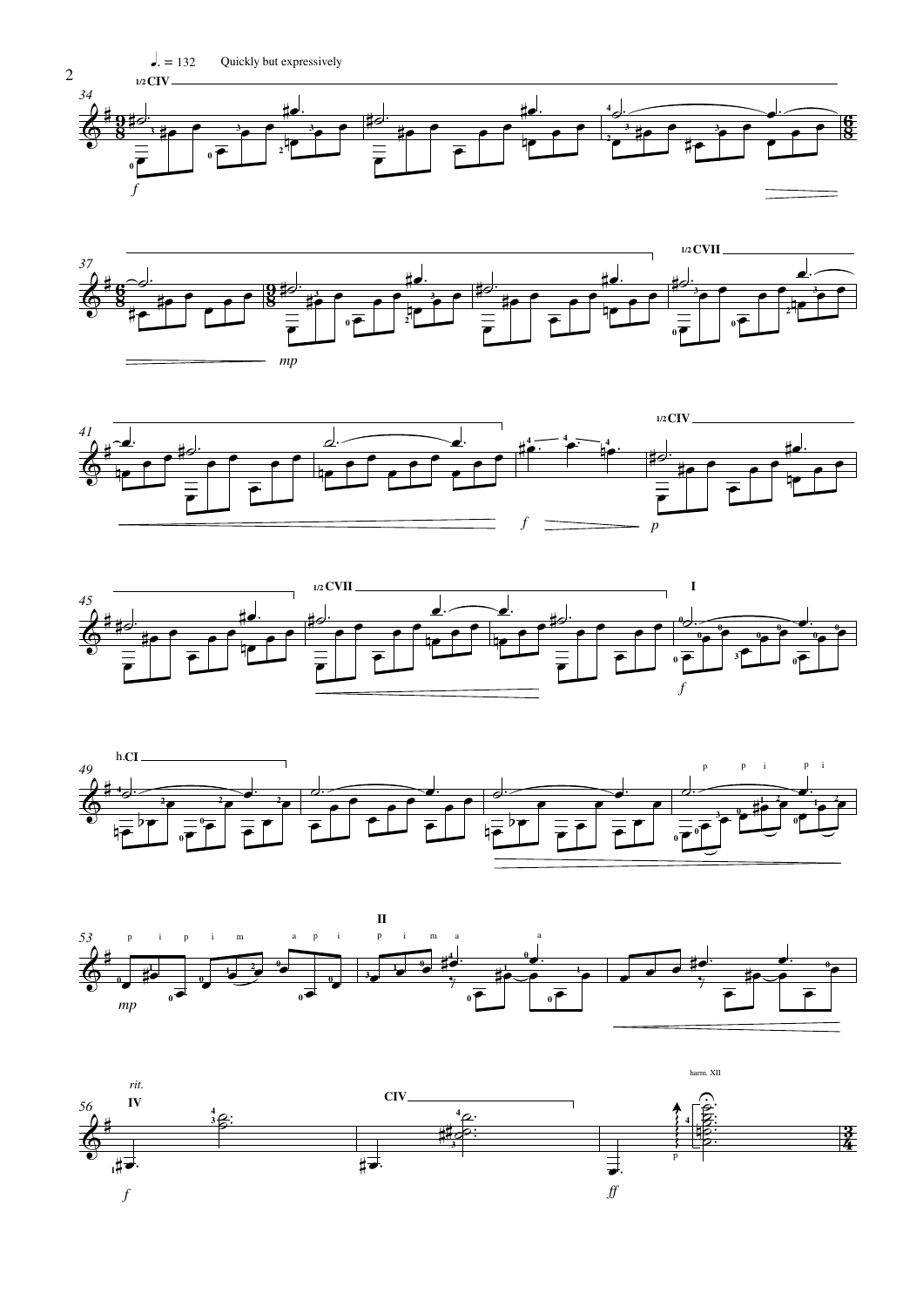













 $\sqrt{2}$ 

 $l = 132$